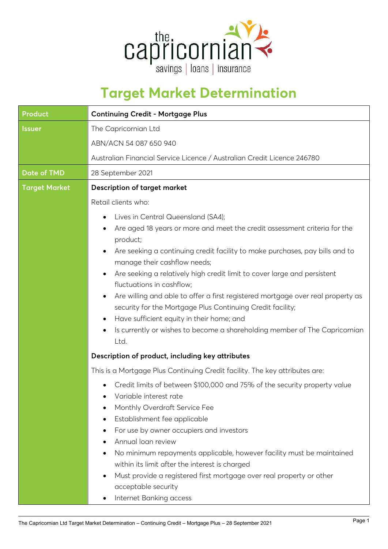

## **Target Market Determination**

| <b>Continuing Credit - Mortgage Plus</b>                                                                                                                   |  |
|------------------------------------------------------------------------------------------------------------------------------------------------------------|--|
| The Capricornian Ltd<br>ABN/ACN 54 087 650 940                                                                                                             |  |
|                                                                                                                                                            |  |
| 28 September 2021                                                                                                                                          |  |
| <b>Description of target market</b>                                                                                                                        |  |
| Retail clients who:                                                                                                                                        |  |
| Lives in Central Queensland (SA4);<br>$\bullet$                                                                                                            |  |
| Are aged 18 years or more and meet the credit assessment criteria for the                                                                                  |  |
| product;                                                                                                                                                   |  |
| Are seeking a continuing credit facility to make purchases, pay bills and to<br>$\bullet$                                                                  |  |
| manage their cashflow needs;                                                                                                                               |  |
| Are seeking a relatively high credit limit to cover large and persistent<br>$\bullet$                                                                      |  |
| fluctuations in cashflow;                                                                                                                                  |  |
| Are willing and able to offer a first registered mortgage over real property as<br>$\bullet$<br>security for the Mortgage Plus Continuing Credit facility; |  |
| Have sufficient equity in their home; and<br>$\bullet$                                                                                                     |  |
| Is currently or wishes to become a shareholding member of The Capricornian<br>$\bullet$                                                                    |  |
| Ltd.                                                                                                                                                       |  |
| Description of product, including key attributes                                                                                                           |  |
| This is a Mortgage Plus Continuing Credit facility. The key attributes are:                                                                                |  |
| Credit limits of between \$100,000 and 75% of the security property value                                                                                  |  |
| Variable interest rate                                                                                                                                     |  |
| Monthly Overdraft Service Fee                                                                                                                              |  |
| Establishment fee applicable<br>$\bullet$                                                                                                                  |  |
| For use by owner occupiers and investors<br>٠                                                                                                              |  |
| Annual loan review                                                                                                                                         |  |
| No minimum repayments applicable, however facility must be maintained                                                                                      |  |
| within its limit after the interest is charged                                                                                                             |  |
| Must provide a registered first mortgage over real property or other<br>$\bullet$<br>acceptable security                                                   |  |
| Internet Banking access<br>$\bullet$                                                                                                                       |  |
|                                                                                                                                                            |  |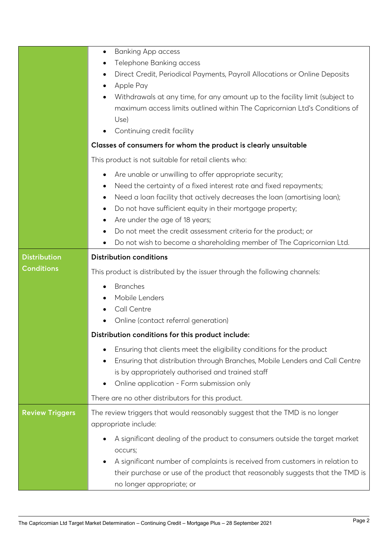|                        | <b>Banking App access</b><br>$\bullet$                                                                     |  |  |
|------------------------|------------------------------------------------------------------------------------------------------------|--|--|
|                        | Telephone Banking access                                                                                   |  |  |
|                        | Direct Credit, Periodical Payments, Payroll Allocations or Online Deposits                                 |  |  |
|                        | Apple Pay<br>٠                                                                                             |  |  |
|                        | Withdrawals at any time, for any amount up to the facility limit (subject to                               |  |  |
|                        | maximum access limits outlined within The Capricornian Ltd's Conditions of                                 |  |  |
|                        | Use)                                                                                                       |  |  |
|                        | Continuing credit facility<br>٠                                                                            |  |  |
|                        | Classes of consumers for whom the product is clearly unsuitable                                            |  |  |
|                        | This product is not suitable for retail clients who:                                                       |  |  |
|                        | Are unable or unwilling to offer appropriate security;<br>٠                                                |  |  |
|                        | Need the certainty of a fixed interest rate and fixed repayments;<br>$\bullet$                             |  |  |
|                        | Need a loan facility that actively decreases the loan (amortising loan);<br>٠                              |  |  |
|                        | Do not have sufficient equity in their mortgage property;                                                  |  |  |
|                        | Are under the age of 18 years;<br>٠                                                                        |  |  |
|                        | Do not meet the credit assessment criteria for the product; or                                             |  |  |
|                        | Do not wish to become a shareholding member of The Capricornian Ltd.<br>$\bullet$                          |  |  |
| <b>Distribution</b>    | <b>Distribution conditions</b>                                                                             |  |  |
| <b>Conditions</b>      | This product is distributed by the issuer through the following channels:                                  |  |  |
|                        |                                                                                                            |  |  |
|                        | <b>Branches</b>                                                                                            |  |  |
|                        | Mobile Lenders                                                                                             |  |  |
|                        | Call Centre                                                                                                |  |  |
|                        | Online (contact referral generation)                                                                       |  |  |
|                        | Distribution conditions for this product include:                                                          |  |  |
|                        | Ensuring that clients meet the eligibility conditions for the product                                      |  |  |
|                        | Ensuring that distribution through Branches, Mobile Lenders and Call Centre                                |  |  |
|                        | is by appropriately authorised and trained staff                                                           |  |  |
|                        | Online application - Form submission only                                                                  |  |  |
|                        | There are no other distributors for this product.                                                          |  |  |
| <b>Review Triggers</b> | The review triggers that would reasonably suggest that the TMD is no longer                                |  |  |
|                        | appropriate include:                                                                                       |  |  |
|                        | A significant dealing of the product to consumers outside the target market                                |  |  |
|                        | occurs;                                                                                                    |  |  |
|                        | A significant number of complaints is received from customers in relation to                               |  |  |
|                        | their purchase or use of the product that reasonably suggests that the TMD is<br>no longer appropriate; or |  |  |